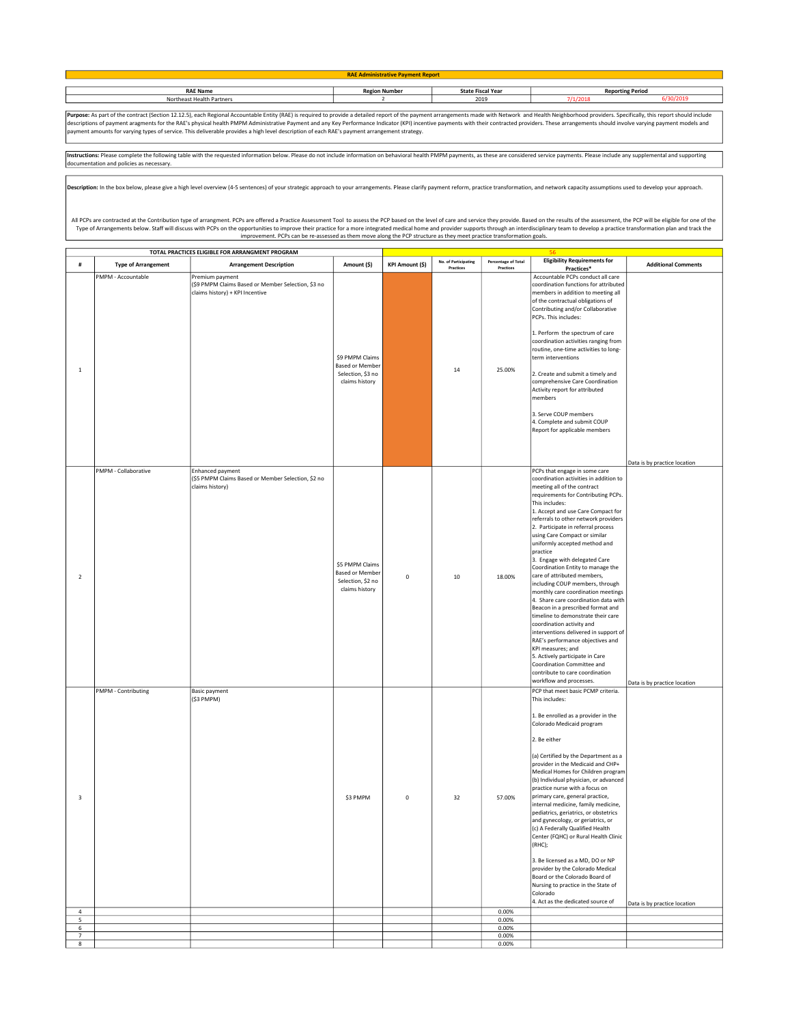| <b>RAE Administrative Payment Report</b> |                          |                         |          |  |  |  |
|------------------------------------------|--------------------------|-------------------------|----------|--|--|--|
|                                          |                          |                         |          |  |  |  |
| <b>Region Number</b>                     | <b>State Fiscal Year</b> | <b>Reporting Period</b> |          |  |  |  |
|                                          | 2019                     | $\sim$<br>717ZU18       | /30/2019 |  |  |  |
|                                          |                          |                         |          |  |  |  |

Purpose: As part of the contract (Section 12.12.5), each Regional Accountable Entity (RAE) is required to provide a detailed report of the payment arrangements made with Network and Health Neighborhood providers. Specifica payment amounts for varying types of service. This deliverable provides a high level description of each RAE's payment arrangement strategy.

Instructions: Please complete the following table with the requested information below. Please do not include information on behavioral health PMPM payments, as these are considered service payments. Please include any sup documentation and policies as necessary.

escription: In the box below, please give a high level overview (4-5 sentences) of your strategic approach to your arrangements. Please clarify payment reform, practice transformation, and network capacity assumptions used

All PCPs are contracted at the Contribution type of arrangment. PCPs are offered a Practice Assessment Tool to assess the PCP based on the level of care and service they provide. Based on the results of the assessment, the Type of Arrangements below. Staff will discuss with PCPs on the opportunities to improve their practice for a more integrated medical home and provider supports through an interdisciplinary team to develop a practice transformation plan and track the improvement. PCPs can be re-assessed as them move along the PCP structure as they meet practice transformation goals.

|                      | TOTAL PRACTICES ELIGIBLE FOR ARRANGMENT PROGRAM |                                                                                                          |                                                                                  |                        |                      |                     |                                                                                                                                                                                                                                                                                                                                                                                                                                                                                                                                                                                                                                                                                                                                                                                                                                                                                                                                  |                                                              |
|----------------------|-------------------------------------------------|----------------------------------------------------------------------------------------------------------|----------------------------------------------------------------------------------|------------------------|----------------------|---------------------|----------------------------------------------------------------------------------------------------------------------------------------------------------------------------------------------------------------------------------------------------------------------------------------------------------------------------------------------------------------------------------------------------------------------------------------------------------------------------------------------------------------------------------------------------------------------------------------------------------------------------------------------------------------------------------------------------------------------------------------------------------------------------------------------------------------------------------------------------------------------------------------------------------------------------------|--------------------------------------------------------------|
| #                    | <b>Type of Arrangement</b>                      | <b>Arrangement Description</b>                                                                           | Amount (\$)                                                                      | <b>KPI Amount (\$)</b> | No. of Participating | Percentage of Total | <b>Eligibility Requirements for</b>                                                                                                                                                                                                                                                                                                                                                                                                                                                                                                                                                                                                                                                                                                                                                                                                                                                                                              | <b>Additional Comments</b>                                   |
| $\mathbf{1}$         | PMPM - Accountable                              | Premium payment<br>(\$9 PMPM Claims Based or Member Selection, \$3 no<br>claims history) + KPI Incentive | \$9 PMPM Claims<br><b>Based or Member</b><br>Selection, \$3 no<br>claims history |                        | Practices<br>14      | Practices<br>25.00% | Practices*<br>Accountable PCPs conduct all care<br>coordination functions for attributed<br>members in addition to meeting all<br>of the contractual obligations of<br>Contributing and/or Collaborative<br>PCPs. This includes:<br>1. Perform the spectrum of care<br>coordination activities ranging from<br>routine, one-time activities to long-<br>term interventions<br>2. Create and submit a timely and<br>comprehensive Care Coordination<br>Activity report for attributed<br>members<br>3. Serve COUP members<br>4. Complete and submit COUP<br>Report for applicable members                                                                                                                                                                                                                                                                                                                                         |                                                              |
| $\overline{2}$       | PMPM - Collaborative                            | Enhanced payment<br>(\$5 PMPM Claims Based or Member Selection, \$2 no<br>claims history)                | \$5 PMPM Claims<br><b>Based or Member</b><br>Selection, \$2 no<br>claims history | $\mathsf 0$            | 10                   | 18.00%              | PCPs that engage in some care<br>coordination activities in addition to<br>meeting all of the contract<br>requirements for Contributing PCPs.<br>This includes:<br>1. Accept and use Care Compact for<br>referrals to other network providers<br>2. Participate in referral process<br>using Care Compact or similar<br>uniformly accepted method and<br>practice<br>3. Engage with delegated Care<br>Coordination Entity to manage the<br>care of attributed members,<br>including COUP members, through<br>monthly care coordination meetings<br>4. Share care coordination data with<br>Beacon in a prescribed format and<br>timeline to demonstrate their care<br>coordination activity and<br>interventions delivered in support of<br>RAE's performance objectives and<br>KPI measures; and<br>5. Actively participate in Care<br>Coordination Committee and<br>contribute to care coordination<br>workflow and processes. | Data is by practice location<br>Data is by practice location |
| 3                    | PMPM - Contributing                             | <b>Basic payment</b><br>(\$3 PMPM)                                                                       | \$3 PMPM                                                                         | $\mathbf 0$            | 32                   | 57.00%              | PCP that meet basic PCMP criteria.<br>This includes:<br>1. Be enrolled as a provider in the<br>Colorado Medicaid program<br>2. Be either<br>(a) Certified by the Department as a<br>provider in the Medicaid and CHP+<br>Medical Homes for Children program<br>(b) Individual physician, or advanced<br>practice nurse with a focus on<br>primary care, general practice,<br>internal medicine, family medicine,<br>pediatrics, geriatrics, or obstetrics<br>and gynecology, or geriatrics, or<br>(c) A Federally Qualified Health<br>Center (FQHC) or Rural Health Clinic<br>(RHC);<br>3. Be licensed as a MD, DO or NP<br>provider by the Colorado Medical<br>Board or the Colorado Board of<br>Nursing to practice in the State of<br>Colorado<br>4. Act as the dedicated source of                                                                                                                                           | Data is by practice location                                 |
| $\overline{4}$       |                                                 |                                                                                                          |                                                                                  |                        |                      | 0.00%               |                                                                                                                                                                                                                                                                                                                                                                                                                                                                                                                                                                                                                                                                                                                                                                                                                                                                                                                                  |                                                              |
| 5                    |                                                 |                                                                                                          |                                                                                  |                        |                      | 0.00%               |                                                                                                                                                                                                                                                                                                                                                                                                                                                                                                                                                                                                                                                                                                                                                                                                                                                                                                                                  |                                                              |
| 6<br>$7\overline{ }$ |                                                 |                                                                                                          |                                                                                  |                        |                      | 0.00%<br>0.00%      |                                                                                                                                                                                                                                                                                                                                                                                                                                                                                                                                                                                                                                                                                                                                                                                                                                                                                                                                  |                                                              |
| 8                    |                                                 |                                                                                                          |                                                                                  |                        |                      | 0.00%               |                                                                                                                                                                                                                                                                                                                                                                                                                                                                                                                                                                                                                                                                                                                                                                                                                                                                                                                                  |                                                              |
|                      |                                                 |                                                                                                          |                                                                                  |                        |                      |                     |                                                                                                                                                                                                                                                                                                                                                                                                                                                                                                                                                                                                                                                                                                                                                                                                                                                                                                                                  |                                                              |